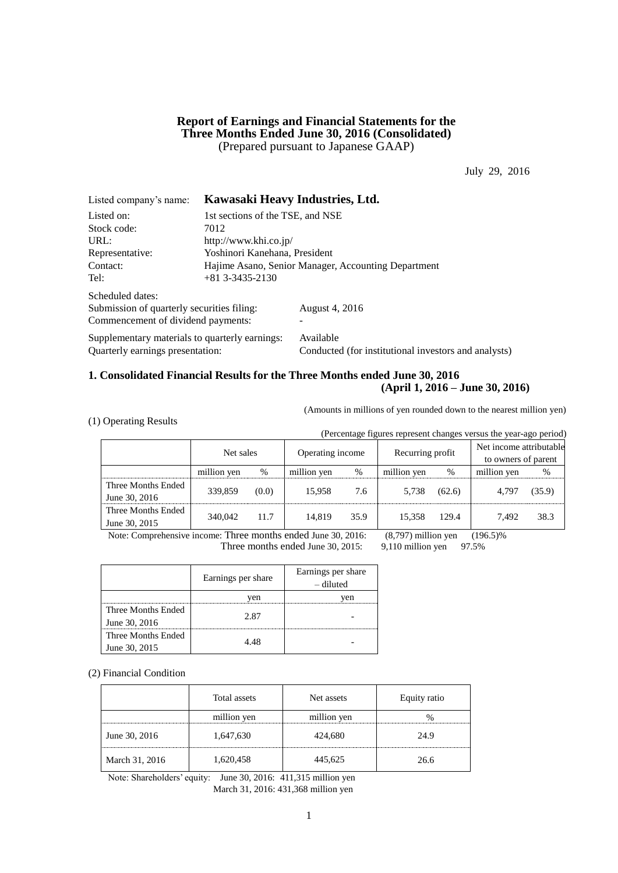### **Report of Earnings and Financial Statements for the Three Months Ended June 30, 2016 (Consolidated)** (Prepared pursuant to Japanese GAAP)

July 29, 2016

| Listed company's name:                         |                                                     | Kawasaki Heavy Industries, Ltd.                      |  |
|------------------------------------------------|-----------------------------------------------------|------------------------------------------------------|--|
| Listed on:                                     | 1st sections of the TSE, and NSE                    |                                                      |  |
| Stock code:                                    | 7012                                                |                                                      |  |
| URL:                                           | http://www.khi.co.jp/                               |                                                      |  |
| Representative:                                | Yoshinori Kanehana, President                       |                                                      |  |
| Contact:                                       | Hajime Asano, Senior Manager, Accounting Department |                                                      |  |
| Tel:                                           | $+81$ 3-3435-2130                                   |                                                      |  |
| Scheduled dates:                               |                                                     |                                                      |  |
| Submission of quarterly securities filing:     |                                                     | August 4, 2016                                       |  |
| Commencement of dividend payments:             |                                                     |                                                      |  |
| Supplementary materials to quarterly earnings: |                                                     | Available                                            |  |
| Quarterly earnings presentation:               |                                                     | Conducted (for institutional investors and analysts) |  |

## **1. Consolidated Financial Results for the Three Months ended June 30, 2016 (April 1, 2016 – June 30, 2016)**

(Amounts in millions of yen rounded down to the nearest million yen)

|  |  | (1) Operating Results |  |
|--|--|-----------------------|--|
|--|--|-----------------------|--|

(Percentage figures represent changes versus the year-ago period)

|                    | Net sales   |       | Operating income |      | Recurring profit |        | Net income attributable<br>to owners of parent |        |
|--------------------|-------------|-------|------------------|------|------------------|--------|------------------------------------------------|--------|
|                    | million yen | %     | million yen      | %    | million yen      | %      | million yen                                    | %      |
| Three Months Ended | 339,859     | (0.0) | 15.958           | 7.6  | 5.738            | (62.6) | 4.797                                          | (35.9) |
| June 30, 2016      |             |       |                  |      |                  |        |                                                |        |
| Three Months Ended | 340,042     | 11.7  | 14.819           | 35.9 | 15.358           | 129.4  | 7.492                                          | 38.3   |
| June 30, 2015      |             |       |                  |      |                  |        |                                                |        |

Note: Comprehensive income: Three months ended June 30, 2016: (8,797) million yen (196.5)%

Three months ended June 30, 2015: 9,110 million yen 97.5%

Earnings per share Earnings per share – diluted yen yen Three Months Ended June 30, 2016 2.87 - Three Months Ended June 30, 2015 4.48 -

(2) Financial Condition

|                | Total assets | Net assets  | Equity ratio |
|----------------|--------------|-------------|--------------|
|                | million yen  | million yen |              |
| June 30, 2016  | 1,647,630    | 424,680     | 24.9         |
| March 31, 2016 | 1,620,458    | 445,625     | 26.6         |

Note: Shareholders' equity: June 30, 2016: 411,315 million yen March 31, 2016: 431,368 million yen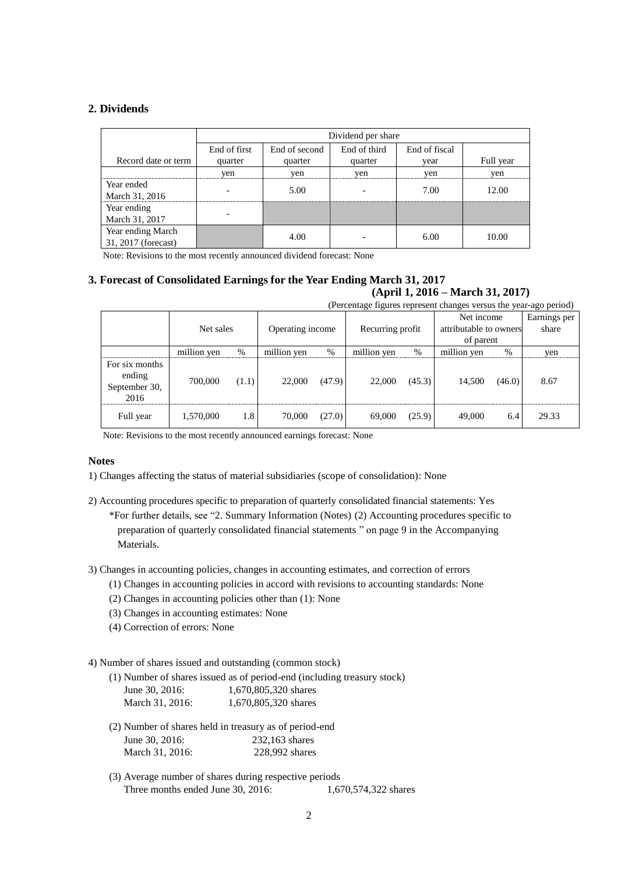### **2. Dividends**

|                     |              | Dividend per share |              |               |           |  |  |
|---------------------|--------------|--------------------|--------------|---------------|-----------|--|--|
|                     | End of first | End of second      | End of third | End of fiscal |           |  |  |
| Record date or term | quarter      | quarter            | quarter      | vear          | Full year |  |  |
|                     | yen          | yen                | yen          | yen           | yen       |  |  |
| Year ended          |              | 5.00               |              | 7.00          | 12.00     |  |  |
| March 31, 2016      |              |                    |              |               |           |  |  |
| Year ending         |              |                    |              |               |           |  |  |
| March 31, 2017      |              |                    |              |               |           |  |  |
| Year ending March   |              | 4.00               |              | 6.00          | 10.00     |  |  |
| 31, 2017 (forecast) |              |                    |              |               |           |  |  |

Note: Revisions to the most recently announced dividend forecast: None

# **3. Forecast of Consolidated Earnings for the Year Ending March 31, 2017**

## **(April 1, 2016 – March 31, 2017)**

| (Percentage figures represent changes versus the year-ago period) |             |       |                                      |        |                                     |        |             |        |              |
|-------------------------------------------------------------------|-------------|-------|--------------------------------------|--------|-------------------------------------|--------|-------------|--------|--------------|
|                                                                   |             |       |                                      |        |                                     |        | Net income  |        | Earnings per |
|                                                                   | Net sales   |       | Operating income<br>Recurring profit |        | attributable to owners<br>of parent |        | share       |        |              |
|                                                                   | million yen | %     | million yen                          | $\%$   | million yen                         | %      | million yen | $\%$   | yen          |
| For six months<br>ending<br>September 30,<br>2016                 | 700,000     | (1.1) | 22,000                               | (47.9) | 22,000                              | (45.3) | 14,500      | (46.0) | 8.67         |
| Full year                                                         | 1,570,000   | 1.8   | 70,000                               | (27.0) | 69,000                              | (25.9) | 49,000      | 6.4    | 29.33        |

Note: Revisions to the most recently announced earnings forecast: None

### **Notes**

1) Changes affecting the status of material subsidiaries (scope of consolidation): None

- 2) Accounting procedures specific to preparation of quarterly consolidated financial statements: Yes \*For further details, see "2. Summary Information (Notes) (2) Accounting procedures specific to preparation of quarterly consolidated financial statements " on page 9 in the Accompanying Materials.
- 3) Changes in accounting policies, changes in accounting estimates, and correction of errors
	- (1) Changes in accounting policies in accord with revisions to accounting standards: None
	- (2) Changes in accounting policies other than (1): None
	- (3) Changes in accounting estimates: None
	- (4) Correction of errors: None

### 4) Number of shares issued and outstanding (common stock)

|                  | (1) Number of shares issued as of period-end (including treasury stock) |
|------------------|-------------------------------------------------------------------------|
| June $30.2016$ : | 1,670,805,320 shares                                                    |
| March 31, 2016:  | 1,670,805,320 shares                                                    |

- (2) Number of shares held in treasury as of period-end June 30, 2016: 232,163 shares March 31, 2016: 228,992 shares
- (3) Average number of shares during respective periods Three months ended June 30, 2016: 1,670,574,322 shares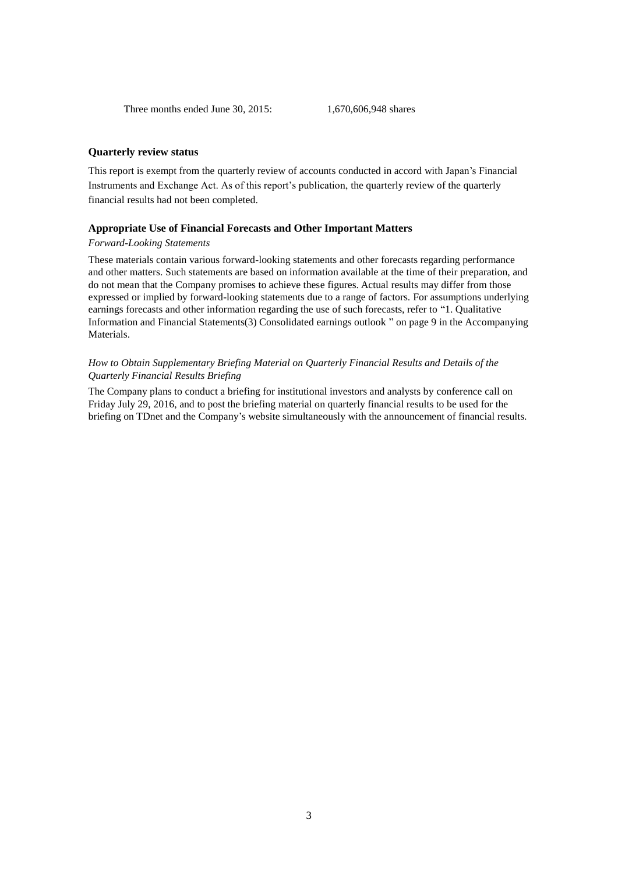### **Quarterly review status**

This report is exempt from the quarterly review of accounts conducted in accord with Japan's Financial Instruments and Exchange Act. As of this report's publication, the quarterly review of the quarterly financial results had not been completed.

#### **Appropriate Use of Financial Forecasts and Other Important Matters**

### *Forward-Looking Statements*

These materials contain various forward-looking statements and other forecasts regarding performance and other matters. Such statements are based on information available at the time of their preparation, and do not mean that the Company promises to achieve these figures. Actual results may differ from those expressed or implied by forward-looking statements due to a range of factors. For assumptions underlying earnings forecasts and other information regarding the use of such forecasts, refer to "1. Qualitative Information and Financial Statements(3) Consolidated earnings outlook " on page 9 in the Accompanying Materials.

### *How to Obtain Supplementary Briefing Material on Quarterly Financial Results and Details of the Quarterly Financial Results Briefing*

The Company plans to conduct a briefing for institutional investors and analysts by conference call on Friday July 29, 2016, and to post the briefing material on quarterly financial results to be used for the briefing on TDnet and the Company's website simultaneously with the announcement of financial results.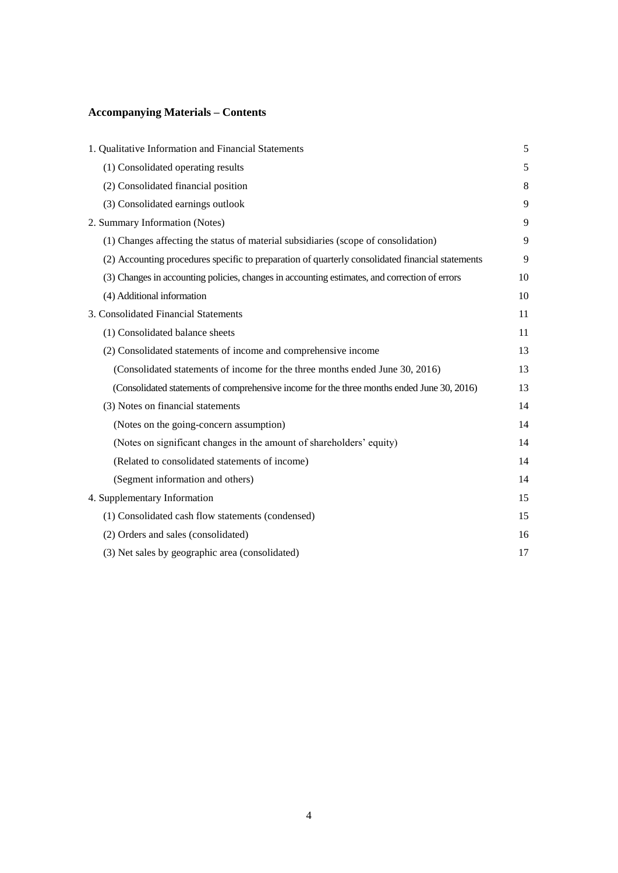# **Accompanying Materials – Contents**

| 1. Qualitative Information and Financial Statements                                              | 5  |
|--------------------------------------------------------------------------------------------------|----|
| (1) Consolidated operating results                                                               | 5  |
| (2) Consolidated financial position                                                              | 8  |
| (3) Consolidated earnings outlook                                                                | 9  |
| 2. Summary Information (Notes)                                                                   | 9  |
| (1) Changes affecting the status of material subsidiaries (scope of consolidation)               | 9  |
| (2) Accounting procedures specific to preparation of quarterly consolidated financial statements | 9  |
| (3) Changes in accounting policies, changes in accounting estimates, and correction of errors    | 10 |
| (4) Additional information                                                                       | 10 |
| 3. Consolidated Financial Statements                                                             | 11 |
| (1) Consolidated balance sheets                                                                  | 11 |
| (2) Consolidated statements of income and comprehensive income                                   | 13 |
| (Consolidated statements of income for the three months ended June 30, 2016)                     | 13 |
| (Consolidated statements of comprehensive income for the three months ended June 30, 2016)       | 13 |
| (3) Notes on financial statements                                                                | 14 |
| (Notes on the going-concern assumption)                                                          | 14 |
| (Notes on significant changes in the amount of shareholders' equity)                             | 14 |
| (Related to consolidated statements of income)                                                   | 14 |
| (Segment information and others)                                                                 | 14 |
| 4. Supplementary Information                                                                     | 15 |
| (1) Consolidated cash flow statements (condensed)                                                | 15 |
| (2) Orders and sales (consolidated)                                                              | 16 |
| (3) Net sales by geographic area (consolidated)                                                  | 17 |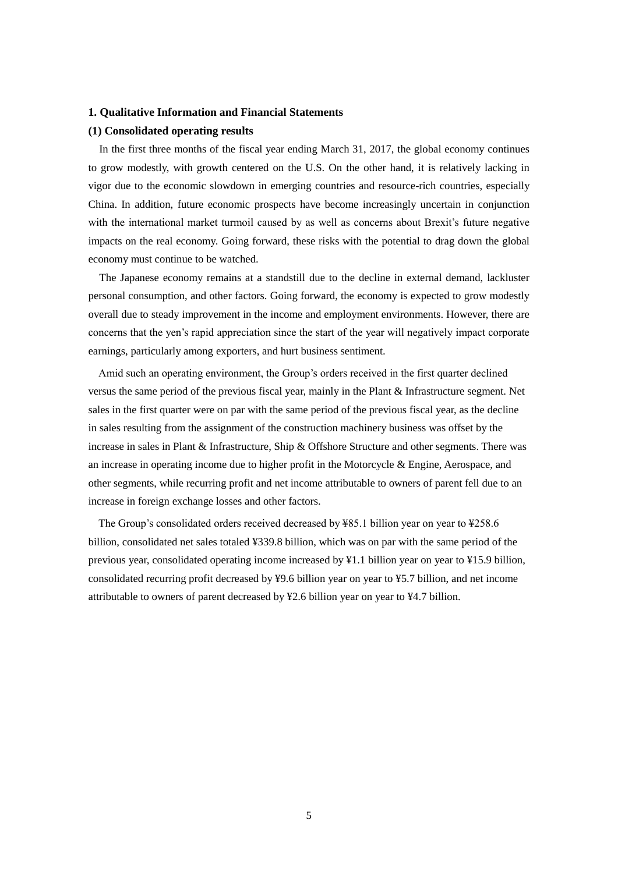### **1. Qualitative Information and Financial Statements**

### **(1) Consolidated operating results**

In the first three months of the fiscal year ending March 31, 2017, the global economy continues to grow modestly, with growth centered on the U.S. On the other hand, it is relatively lacking in vigor due to the economic slowdown in emerging countries and resource-rich countries, especially China. In addition, future economic prospects have become increasingly uncertain in conjunction with the international market turmoil caused by as well as concerns about Brexit's future negative impacts on the real economy. Going forward, these risks with the potential to drag down the global economy must continue to be watched.

The Japanese economy remains at a standstill due to the decline in external demand, lackluster personal consumption, and other factors. Going forward, the economy is expected to grow modestly overall due to steady improvement in the income and employment environments. However, there are concerns that the yen's rapid appreciation since the start of the year will negatively impact corporate earnings, particularly among exporters, and hurt business sentiment.

Amid such an operating environment, the Group's orders received in the first quarter declined versus the same period of the previous fiscal year, mainly in the Plant & Infrastructure segment. Net sales in the first quarter were on par with the same period of the previous fiscal year, as the decline in sales resulting from the assignment of the construction machinery business was offset by the increase in sales in Plant & Infrastructure, Ship & Offshore Structure and other segments. There was an increase in operating income due to higher profit in the Motorcycle  $\&$  Engine, Aerospace, and other segments, while recurring profit and net income attributable to owners of parent fell due to an increase in foreign exchange losses and other factors.

The Group's consolidated orders received decreased by ¥85.1 billion year on year to ¥258.6 billion, consolidated net sales totaled ¥339.8 billion, which was on par with the same period of the previous year, consolidated operating income increased by ¥1.1 billion year on year to ¥15.9 billion, consolidated recurring profit decreased by ¥9.6 billion year on year to ¥5.7 billion, and net income attributable to owners of parent decreased by ¥2.6 billion year on year to ¥4.7 billion.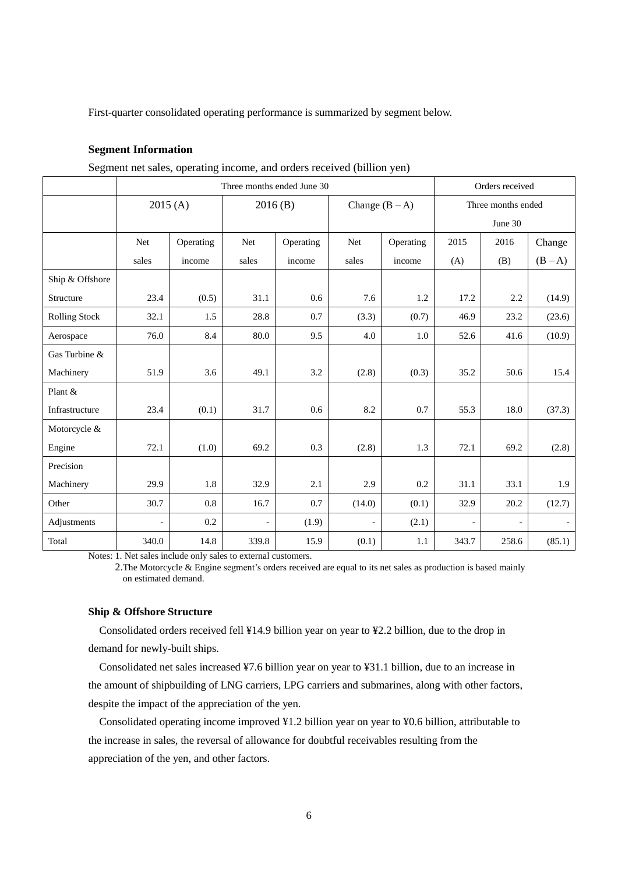First-quarter consolidated operating performance is summarized by segment below.

### **Segment Information**

Three months ended June 30 Orders received  $2015 (A)$  2016 (B) Change  $(B-A)$  Three months ended June 30 Net sales Operating income Net sales Operating income Net sales Operating income 2015  $(A)$ 2016 (B) Change  $(B - A)$ Ship & Offshore Structure | 23.4 (0.5) 31.1 0.6 7.6 1.2 17.2 2.2 (14.9) Rolling Stock | 32.1 | 1.5 | 28.8 | 0.7 | (3.3) | (0.7) | 46.9 | 23.2 | (23.6) Aerospace | 76.0 8.4 80.0 9.5 4.0 1.0 52.6 41.6 (10.9) Gas Turbine & Machinery | 51.9 3.6 49.1 3.2 (2.8)  $(0.3)$  35.2 50.6 15.4 Plant & Infrastructure | 23.4 (0.1) 31.7 | 0.6 | 8.2 | 0.7 | 55.3 | 18.0 (37.3) Motorcycle & Engine 72.1 (1.0) 69.2 0.3 (2.8) 1.3 72.1 69.2 (2.8) Precision Machinery | 29.9 1.8 32.9 2.1 2.9 0.2 31.1 33.1 1.9 Other 30.7 0.8 16.7 0.7 (14.0) (0.1) 32.9 20.2 (12.7) Adjustments | - 0.2 - (1.9) - (2.1) - - - -Total 340.0 14.8 339.8 15.9 (0.1) 1.1 343.7 258.6 (85.1)

Segment net sales, operating income, and orders received (billion yen)

Notes: 1. Net sales include only sales to external customers.

2.The Motorcycle & Engine segment's orders received are equal to its net sales as production is based mainly on estimated demand.

### **Ship & Offshore Structure**

Consolidated orders received fell ¥14.9 billion year on year to ¥2.2 billion, due to the drop in demand for newly-built ships.

Consolidated net sales increased ¥7.6 billion year on year to ¥31.1 billion, due to an increase in the amount of shipbuilding of LNG carriers, LPG carriers and submarines, along with other factors, despite the impact of the appreciation of the yen.

Consolidated operating income improved ¥1.2 billion year on year to ¥0.6 billion, attributable to the increase in sales, the reversal of allowance for doubtful receivables resulting from the appreciation of the yen, and other factors.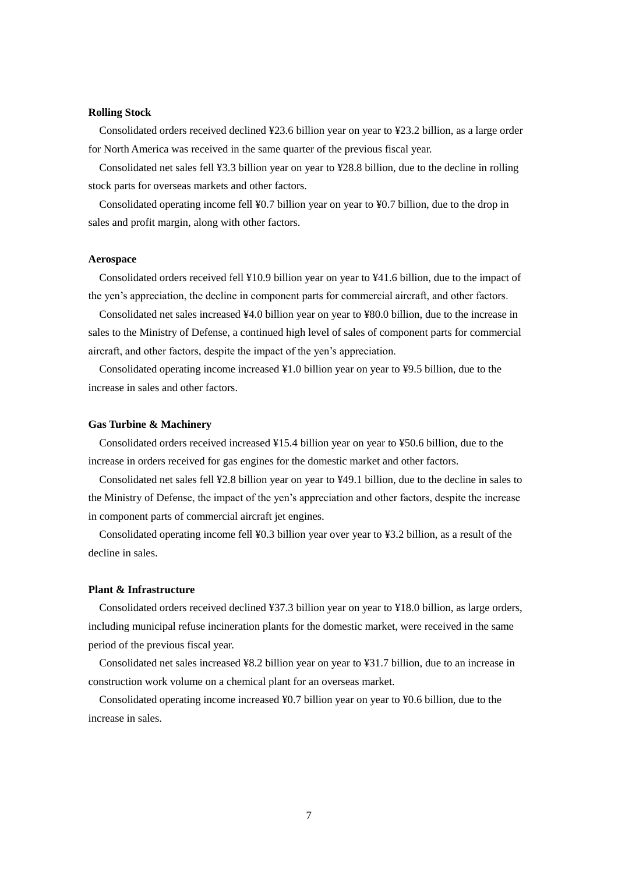### **Rolling Stock**

Consolidated orders received declined ¥23.6 billion year on year to ¥23.2 billion, as a large order for North America was received in the same quarter of the previous fiscal year.

Consolidated net sales fell ¥3.3 billion year on year to ¥28.8 billion, due to the decline in rolling stock parts for overseas markets and other factors.

Consolidated operating income fell ¥0.7 billion year on year to ¥0.7 billion, due to the drop in sales and profit margin, along with other factors.

### **Aerospace**

Consolidated orders received fell ¥10.9 billion year on year to ¥41.6 billion, due to the impact of the yen's appreciation, the decline in component parts for commercial aircraft, and other factors.

Consolidated net sales increased ¥4.0 billion year on year to ¥80.0 billion, due to the increase in sales to the Ministry of Defense, a continued high level of sales of component parts for commercial aircraft, and other factors, despite the impact of the yen's appreciation.

Consolidated operating income increased ¥1.0 billion year on year to ¥9.5 billion, due to the increase in sales and other factors.

### **Gas Turbine & Machinery**

Consolidated orders received increased ¥15.4 billion year on year to ¥50.6 billion, due to the increase in orders received for gas engines for the domestic market and other factors.

Consolidated net sales fell ¥2.8 billion year on year to ¥49.1 billion, due to the decline in sales to the Ministry of Defense, the impact of the yen's appreciation and other factors, despite the increase in component parts of commercial aircraft jet engines.

Consolidated operating income fell ¥0.3 billion year over year to ¥3.2 billion, as a result of the decline in sales.

### **Plant & Infrastructure**

Consolidated orders received declined ¥37.3 billion year on year to ¥18.0 billion, as large orders, including municipal refuse incineration plants for the domestic market, were received in the same period of the previous fiscal year.

Consolidated net sales increased ¥8.2 billion year on year to ¥31.7 billion, due to an increase in construction work volume on a chemical plant for an overseas market.

Consolidated operating income increased ¥0.7 billion year on year to ¥0.6 billion, due to the increase in sales.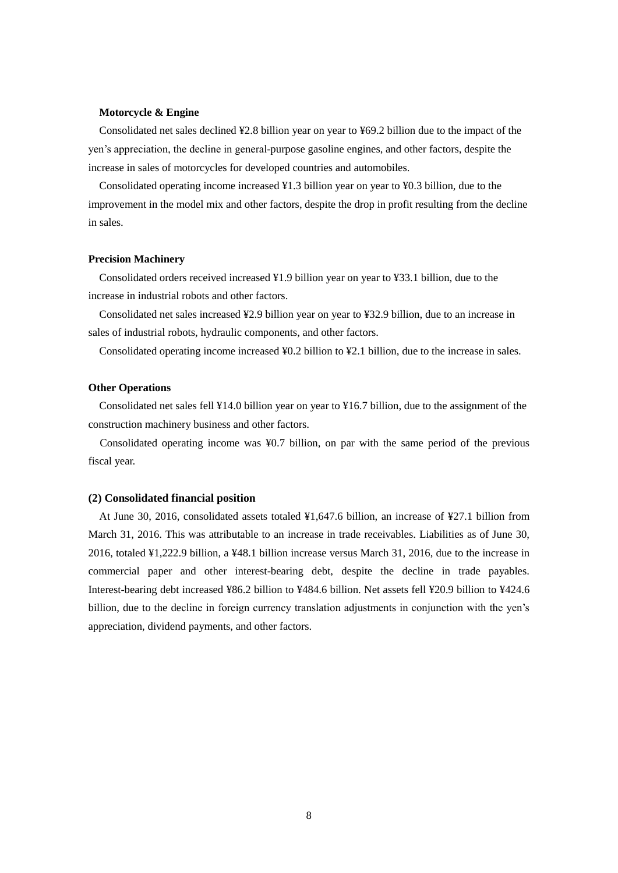### **Motorcycle & Engine**

Consolidated net sales declined ¥2.8 billion year on year to ¥69.2 billion due to the impact of the yen's appreciation, the decline in general-purpose gasoline engines, and other factors, despite the increase in sales of motorcycles for developed countries and automobiles.

Consolidated operating income increased ¥1.3 billion year on year to ¥0.3 billion, due to the improvement in the model mix and other factors, despite the drop in profit resulting from the decline in sales.

#### **Precision Machinery**

Consolidated orders received increased ¥1.9 billion year on year to ¥33.1 billion, due to the increase in industrial robots and other factors.

Consolidated net sales increased ¥2.9 billion year on year to ¥32.9 billion, due to an increase in sales of industrial robots, hydraulic components, and other factors.

Consolidated operating income increased ¥0.2 billion to ¥2.1 billion, due to the increase in sales.

### **Other Operations**

Consolidated net sales fell ¥14.0 billion year on year to ¥16.7 billion, due to the assignment of the construction machinery business and other factors.

Consolidated operating income was ¥0.7 billion, on par with the same period of the previous fiscal year.

### **(2) Consolidated financial position**

At June 30, 2016, consolidated assets totaled ¥1,647.6 billion, an increase of ¥27.1 billion from March 31, 2016. This was attributable to an increase in trade receivables. Liabilities as of June 30, 2016, totaled ¥1,222.9 billion, a ¥48.1 billion increase versus March 31, 2016, due to the increase in commercial paper and other interest-bearing debt, despite the decline in trade payables. Interest-bearing debt increased ¥86.2 billion to ¥484.6 billion. Net assets fell ¥20.9 billion to ¥424.6 billion, due to the decline in foreign currency translation adjustments in conjunction with the yen's appreciation, dividend payments, and other factors.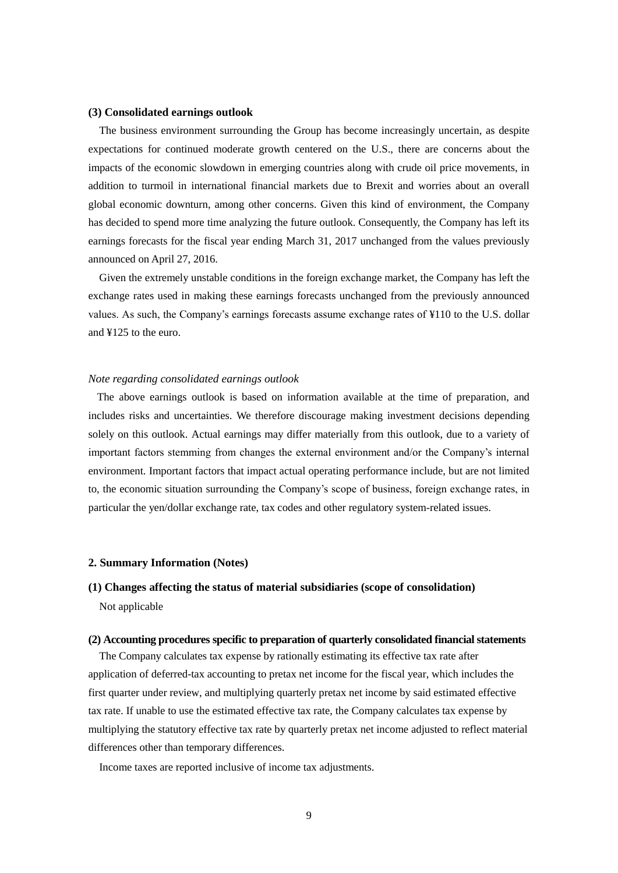### **(3) Consolidated earnings outlook**

The business environment surrounding the Group has become increasingly uncertain, as despite expectations for continued moderate growth centered on the U.S., there are concerns about the impacts of the economic slowdown in emerging countries along with crude oil price movements, in addition to turmoil in international financial markets due to Brexit and worries about an overall global economic downturn, among other concerns. Given this kind of environment, the Company has decided to spend more time analyzing the future outlook. Consequently, the Company has left its earnings forecasts for the fiscal year ending March 31, 2017 unchanged from the values previously announced on April 27, 2016.

Given the extremely unstable conditions in the foreign exchange market, the Company has left the exchange rates used in making these earnings forecasts unchanged from the previously announced values. As such, the Company's earnings forecasts assume exchange rates of ¥110 to the U.S. dollar and ¥125 to the euro.

### *Note regarding consolidated earnings outlook*

The above earnings outlook is based on information available at the time of preparation, and includes risks and uncertainties. We therefore discourage making investment decisions depending solely on this outlook. Actual earnings may differ materially from this outlook, due to a variety of important factors stemming from changes the external environment and/or the Company's internal environment. Important factors that impact actual operating performance include, but are not limited to, the economic situation surrounding the Company's scope of business, foreign exchange rates, in particular the yen/dollar exchange rate, tax codes and other regulatory system-related issues.

### **2. Summary Information (Notes)**

## **(1) Changes affecting the status of material subsidiaries (scope of consolidation)** Not applicable

#### **(2) Accounting procedures specific to preparation of quarterly consolidated financial statements**

The Company calculates tax expense by rationally estimating its effective tax rate after application of deferred-tax accounting to pretax net income for the fiscal year, which includes the first quarter under review, and multiplying quarterly pretax net income by said estimated effective tax rate. If unable to use the estimated effective tax rate, the Company calculates tax expense by multiplying the statutory effective tax rate by quarterly pretax net income adjusted to reflect material differences other than temporary differences.

Income taxes are reported inclusive of income tax adjustments.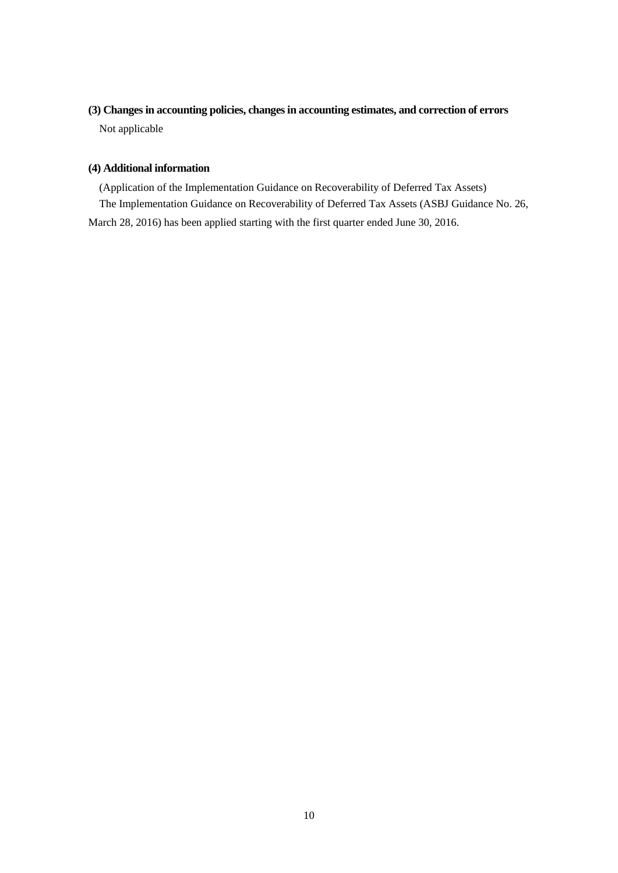# **(3) Changes in accounting policies, changes in accounting estimates, and correction of errors** Not applicable

### **(4) Additional information**

(Application of the Implementation Guidance on Recoverability of Deferred Tax Assets) The Implementation Guidance on Recoverability of Deferred Tax Assets (ASBJ Guidance No. 26, March 28, 2016) has been applied starting with the first quarter ended June 30, 2016.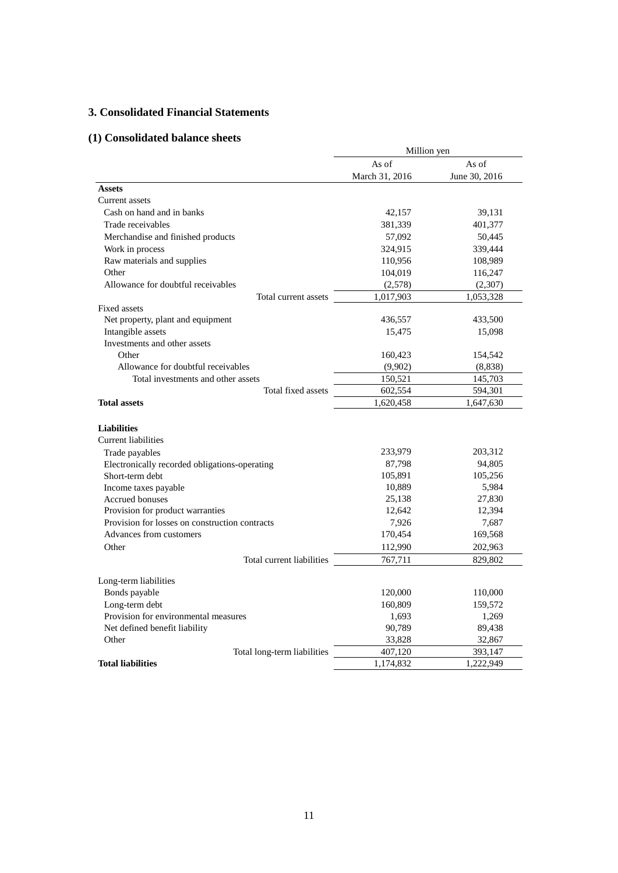## **3. Consolidated Financial Statements**

## **(1) Consolidated balance sheets**

|                                                                                    | Million yen    |               |  |
|------------------------------------------------------------------------------------|----------------|---------------|--|
|                                                                                    | As of          | As of         |  |
|                                                                                    | March 31, 2016 | June 30, 2016 |  |
| <b>Assets</b>                                                                      |                |               |  |
| <b>Current</b> assets                                                              |                |               |  |
| Cash on hand and in banks                                                          | 42,157         | 39,131        |  |
| Trade receivables                                                                  | 381,339        | 401,377       |  |
| Merchandise and finished products                                                  | 57,092         | 50,445        |  |
| Work in process                                                                    | 324,915        | 339,444       |  |
| Raw materials and supplies                                                         | 110,956        | 108,989       |  |
| Other                                                                              | 104,019        | 116,247       |  |
| Allowance for doubtful receivables                                                 | (2,578)        | (2,307)       |  |
| Total current assets                                                               | 1,017,903      | 1,053,328     |  |
| <b>Fixed assets</b>                                                                |                |               |  |
| Net property, plant and equipment                                                  | 436,557        | 433,500       |  |
| Intangible assets                                                                  | 15,475         | 15,098        |  |
| Investments and other assets                                                       |                |               |  |
| Other                                                                              | 160,423        | 154,542       |  |
| Allowance for doubtful receivables                                                 | (9,902)        | (8,838)       |  |
| Total investments and other assets                                                 | 150,521        | 145,703       |  |
| Total fixed assets                                                                 | 602,554        | 594,301       |  |
| <b>Total assets</b>                                                                | 1,620,458      | 1,647,630     |  |
|                                                                                    |                |               |  |
| <b>Liabilities</b>                                                                 |                |               |  |
| <b>Current liabilities</b>                                                         |                |               |  |
| Trade payables                                                                     | 233,979        | 203,312       |  |
| Electronically recorded obligations-operating                                      | 87,798         | 94,805        |  |
| Short-term debt                                                                    | 105,891        | 105,256       |  |
| Income taxes payable                                                               | 10,889         | 5,984         |  |
| Accrued bonuses                                                                    | 25,138         | 27,830        |  |
| Provision for product warranties<br>Provision for losses on construction contracts | 12,642         | 12,394        |  |
| Advances from customers                                                            | 7,926          | 7,687         |  |
|                                                                                    | 170,454        | 169,568       |  |
| Other                                                                              | 112,990        | 202,963       |  |
| Total current liabilities                                                          | 767,711        | 829,802       |  |
| Long-term liabilities                                                              |                |               |  |
| Bonds payable                                                                      | 120,000        | 110,000       |  |
| Long-term debt                                                                     | 160,809        | 159,572       |  |
| Provision for environmental measures                                               | 1,693          | 1,269         |  |
| Net defined benefit liability                                                      | 90,789         | 89,438        |  |
| Other                                                                              | 33,828         | 32,867        |  |
| Total long-term liabilities                                                        | 407,120        | 393,147       |  |
| <b>Total liabilities</b>                                                           | 1,174,832      | 1,222,949     |  |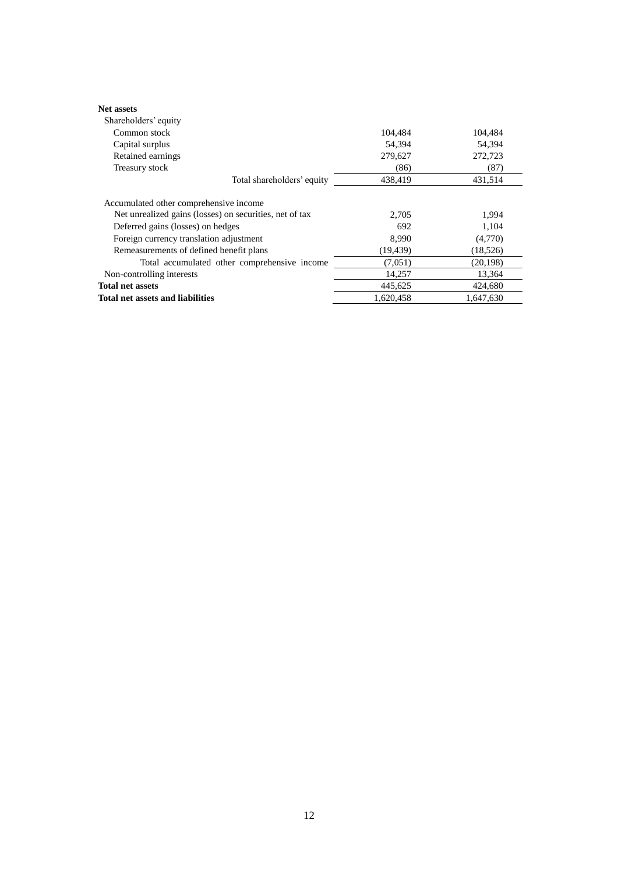| <b>Net assets</b>                                       |           |           |
|---------------------------------------------------------|-----------|-----------|
| Shareholders' equity                                    |           |           |
| Common stock                                            | 104,484   | 104,484   |
| Capital surplus                                         | 54,394    | 54,394    |
| Retained earnings                                       | 279,627   | 272,723   |
| Treasury stock                                          | (86)      | (87)      |
| Total shareholders' equity                              | 438.419   | 431.514   |
| Accumulated other comprehensive income                  |           |           |
| Net unrealized gains (losses) on securities, net of tax | 2.705     | 1,994     |
| Deferred gains (losses) on hedges                       | 692       | 1,104     |
| Foreign currency translation adjustment                 | 8.990     | (4,770)   |
| Remeasurements of defined benefit plans                 | (19, 439) | (18,526)  |
| Total accumulated other comprehensive income            | (7,051)   | (20, 198) |
| Non-controlling interests                               | 14,257    | 13,364    |
| <b>Total net assets</b>                                 | 445.625   | 424,680   |
| Total net assets and liabilities                        | 1,620,458 | 1.647.630 |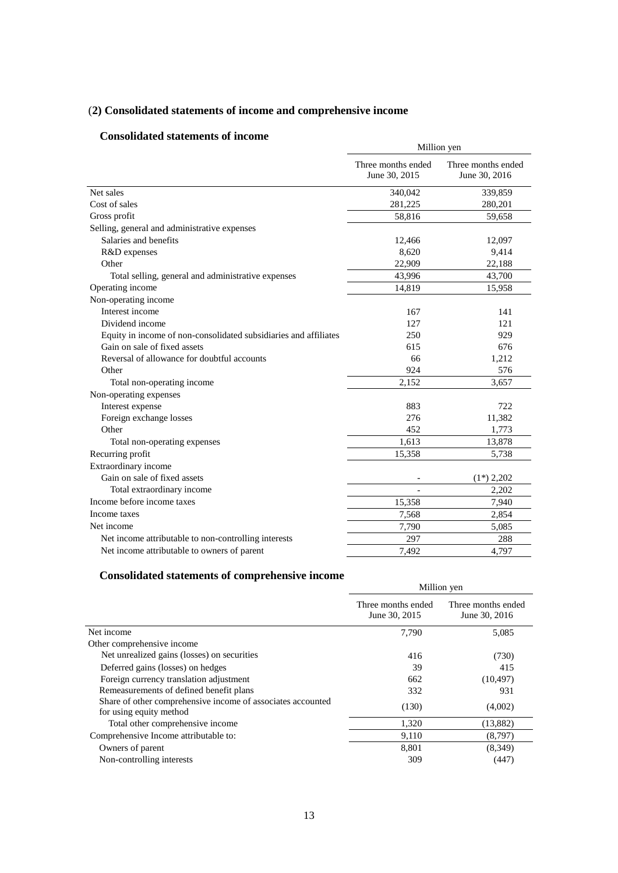# (**2) Consolidated statements of income and comprehensive income**

## **Consolidated statements of income**

| onsonuateu statements of meome                                   | Million yen                         |                                     |  |  |
|------------------------------------------------------------------|-------------------------------------|-------------------------------------|--|--|
|                                                                  | Three months ended<br>June 30, 2015 | Three months ended<br>June 30, 2016 |  |  |
| Net sales                                                        | 340,042                             | 339,859                             |  |  |
| Cost of sales                                                    | 281,225                             | 280,201                             |  |  |
| Gross profit                                                     | 58,816                              | 59,658                              |  |  |
| Selling, general and administrative expenses                     |                                     |                                     |  |  |
| Salaries and benefits                                            | 12,466                              | 12,097                              |  |  |
| R&D expenses                                                     | 8,620                               | 9,414                               |  |  |
| Other                                                            | 22,909                              | 22,188                              |  |  |
| Total selling, general and administrative expenses               | 43,996                              | 43,700                              |  |  |
| Operating income                                                 | 14,819                              | 15,958                              |  |  |
| Non-operating income                                             |                                     |                                     |  |  |
| Interest income                                                  | 167                                 | 141                                 |  |  |
| Dividend income                                                  | 127                                 | 121                                 |  |  |
| Equity in income of non-consolidated subsidiaries and affiliates | 250                                 | 929                                 |  |  |
| Gain on sale of fixed assets                                     | 615                                 | 676                                 |  |  |
| Reversal of allowance for doubtful accounts                      | 66                                  | 1,212                               |  |  |
| Other                                                            | 924                                 | 576                                 |  |  |
| Total non-operating income                                       | 2,152                               | 3,657                               |  |  |
| Non-operating expenses                                           |                                     |                                     |  |  |
| Interest expense                                                 | 883                                 | 722                                 |  |  |
| Foreign exchange losses                                          | 276                                 | 11,382                              |  |  |
| Other                                                            | 452                                 | 1,773                               |  |  |
| Total non-operating expenses                                     | 1,613                               | 13,878                              |  |  |
| Recurring profit                                                 | 15,358                              | 5,738                               |  |  |
| Extraordinary income                                             |                                     |                                     |  |  |
| Gain on sale of fixed assets                                     |                                     | $(1*)$ 2,202                        |  |  |
| Total extraordinary income                                       |                                     | 2,202                               |  |  |
| Income before income taxes                                       | 15,358                              | 7,940                               |  |  |
| Income taxes                                                     | 7,568                               | 2,854                               |  |  |
| Net income                                                       | 7,790                               | 5,085                               |  |  |
| Net income attributable to non-controlling interests             | 297                                 | 288                                 |  |  |
| Net income attributable to owners of parent                      | 7,492                               | 4,797                               |  |  |

# **Consolidated statements of comprehensive income**

|                                                                                        | Million yen                         |                                     |  |
|----------------------------------------------------------------------------------------|-------------------------------------|-------------------------------------|--|
|                                                                                        | Three months ended<br>June 30, 2015 | Three months ended<br>June 30, 2016 |  |
| Net income                                                                             | 7,790                               | 5,085                               |  |
| Other comprehensive income                                                             |                                     |                                     |  |
| Net unrealized gains (losses) on securities                                            | 416                                 | (730)                               |  |
| Deferred gains (losses) on hedges                                                      | 39                                  | 415                                 |  |
| Foreign currency translation adjustment                                                | 662                                 | (10, 497)                           |  |
| Remeasurements of defined benefit plans                                                | 332                                 | 931                                 |  |
| Share of other comprehensive income of associates accounted<br>for using equity method | (130)                               | (4,002)                             |  |
| Total other comprehensive income                                                       | 1,320                               | (13,882)                            |  |
| Comprehensive Income attributable to:                                                  | 9,110                               | (8,797)                             |  |
| Owners of parent                                                                       | 8,801                               | (8,349)                             |  |
| Non-controlling interests                                                              | 309                                 | (447)                               |  |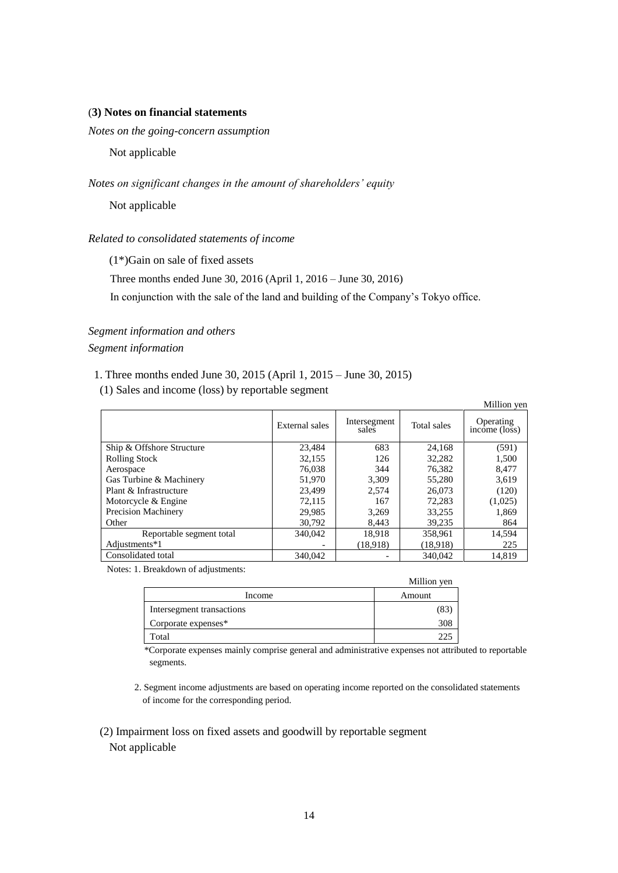### (**3) Notes on financial statements**

*Notes on the going-concern assumption* 

Not applicable

*Notes on significant changes in the amount of shareholders' equity*

Not applicable

*Related to consolidated statements of income*

(1\*)Gain on sale of fixed assets

Three months ended June 30, 2016 (April 1, 2016 – June 30, 2016)

In conjunction with the sale of the land and building of the Company's Tokyo office.

## *Segment information and others Segment information*

### 1. Three months ended June 30, 2015 (April 1, 2015 – June 30, 2015)

(1) Sales and income (loss) by reportable segment

|                           |                |                       |             | Million yen                             |
|---------------------------|----------------|-----------------------|-------------|-----------------------------------------|
|                           | External sales | Intersegment<br>sales | Total sales | Operating<br>$inc\overline{one}$ (loss) |
| Ship & Offshore Structure | 23.484         | 683                   | 24,168      | (591)                                   |
| <b>Rolling Stock</b>      | 32,155         | 126                   | 32,282      | 1,500                                   |
| Aerospace                 | 76,038         | 344                   | 76,382      | 8,477                                   |
| Gas Turbine & Machinery   | 51,970         | 3,309                 | 55,280      | 3,619                                   |
| Plant & Infrastructure    | 23.499         | 2.574                 | 26,073      | (120)                                   |
| Motorcycle & Engine       | 72,115         | 167                   | 72,283      | (1,025)                                 |
| Precision Machinery       | 29.985         | 3.269                 | 33,255      | 1,869                                   |
| Other                     | 30,792         | 8.443                 | 39,235      | 864                                     |
| Reportable segment total  | 340,042        | 18.918                | 358,961     | 14,594                                  |
| Adjustments*1             |                | (18,918)              | (18,918)    | 225                                     |
| Consolidated total        | 340,042        |                       | 340,042     | 14.819                                  |

Notes: 1. Breakdown of adjustments:

|                           | Million yen |
|---------------------------|-------------|
| Income                    | Amount      |
| Intersegment transactions | (83         |
| Corporate expenses*       | 308         |
| Total                     |             |

\*Corporate expenses mainly comprise general and administrative expenses not attributed to reportable segments.

2. Segment income adjustments are based on operating income reported on the consolidated statements of income for the corresponding period.

 (2) Impairment loss on fixed assets and goodwill by reportable segment Not applicable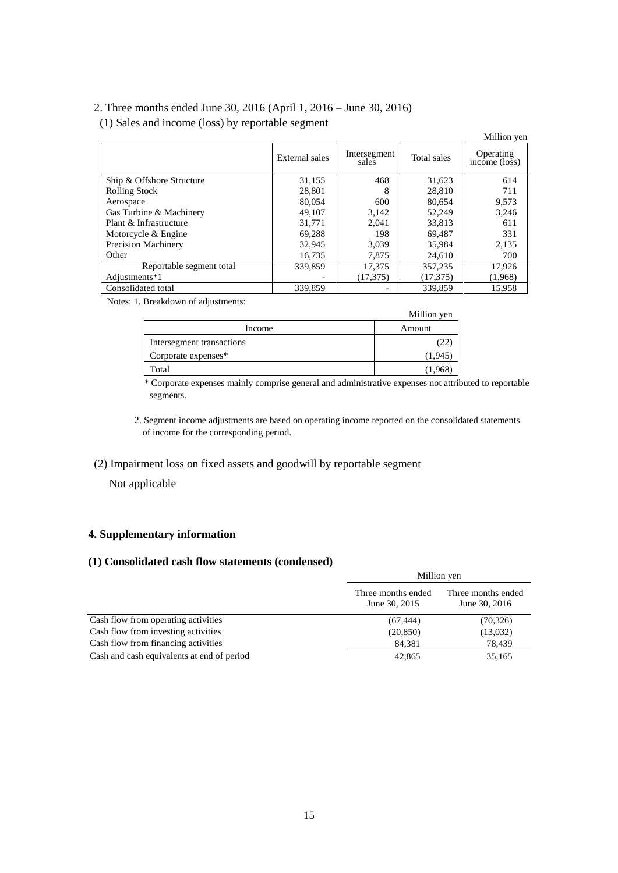## 2. Three months ended June 30, 2016 (April 1, 2016 – June 30, 2016)

(1) Sales and income (loss) by reportable segment

|                            |                |                       |             | Million yen                |
|----------------------------|----------------|-----------------------|-------------|----------------------------|
|                            | External sales | Intersegment<br>sales | Total sales | Operating<br>income (loss) |
| Ship & Offshore Structure  | 31,155         | 468                   | 31,623      | 614                        |
| <b>Rolling Stock</b>       | 28,801         | 8                     | 28,810      | 711                        |
| Aerospace                  | 80,054         | 600                   | 80.654      | 9,573                      |
| Gas Turbine & Machinery    | 49.107         | 3.142                 | 52,249      | 3,246                      |
| Plant & Infrastructure     | 31.771         | 2.041                 | 33.813      | 611                        |
| Motorcycle & Engine        | 69,288         | 198                   | 69.487      | 331                        |
| <b>Precision Machinery</b> | 32,945         | 3.039                 | 35,984      | 2,135                      |
| Other                      | 16,735         | 7,875                 | 24,610      | 700                        |
| Reportable segment total   | 339,859        | 17,375                | 357,235     | 17,926                     |
| Adjustments*1              |                | (17, 375)             | (17, 375)   | (1,968)                    |
| Consolidated total         | 339,859        |                       | 339,859     | 15,958                     |

Notes: 1. Breakdown of adjustments:

| $\sim$ $\sim$             | Million yen |
|---------------------------|-------------|
| Income                    | Amount      |
| Intersegment transactions |             |
| Corporate expenses*       | (1,945)     |
| Total                     | (1.968)     |

\* Corporate expenses mainly comprise general and administrative expenses not attributed to reportable segments.

2. Segment income adjustments are based on operating income reported on the consolidated statements of income for the corresponding period.

### (2) Impairment loss on fixed assets and goodwill by reportable segment

Not applicable

## **4. Supplementary information**

### **(1) Consolidated cash flow statements (condensed)**

|                                            | Million yen                         |                                     |  |
|--------------------------------------------|-------------------------------------|-------------------------------------|--|
|                                            | Three months ended<br>June 30, 2015 | Three months ended<br>June 30, 2016 |  |
| Cash flow from operating activities        | (67, 444)                           | (70, 326)                           |  |
| Cash flow from investing activities        | (20, 850)                           | (13,032)                            |  |
| Cash flow from financing activities        | 84,381                              | 78.439                              |  |
| Cash and cash equivalents at end of period | 42,865                              | 35,165                              |  |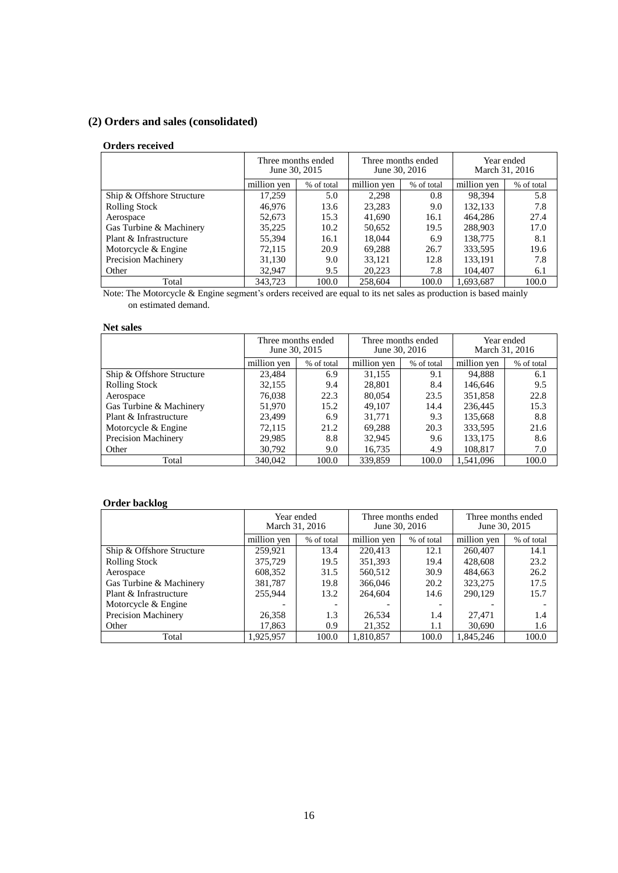# **(2) Orders and sales (consolidated)**

### **Orders received**

|                           | June 30, 2015 | Three months ended | Three months ended | June 30, 2016 | March 31, 2016 | Year ended |
|---------------------------|---------------|--------------------|--------------------|---------------|----------------|------------|
|                           | million yen   | % of total         | million yen        | % of total    | million yen    | % of total |
| Ship & Offshore Structure | 17,259        | 5.0                | 2.298              | 0.8           | 98.394         | 5.8        |
| <b>Rolling Stock</b>      | 46.976        | 13.6               | 23,283             | 9.0           | 132,133        | 7.8        |
| Aerospace                 | 52,673        | 15.3               | 41,690             | 16.1          | 464,286        | 27.4       |
| Gas Turbine & Machinery   | 35,225        | 10.2               | 50,652             | 19.5          | 288,903        | 17.0       |
| Plant & Infrastructure    | 55.394        | 16.1               | 18,044             | 6.9           | 138,775        | 8.1        |
| Motorcycle & Engine       | 72.115        | 20.9               | 69.288             | 26.7          | 333,595        | 19.6       |
| Precision Machinery       | 31,130        | 9.0                | 33.121             | 12.8          | 133,191        | 7.8        |
| Other                     | 32,947        | 9.5                | 20.223             | 7.8           | 104,407        | 6.1        |
| Total                     | 343,723       | 100.0              | 258,604            | 100.0         | 1.693.687      | 100.0      |

Note: The Motorcycle & Engine segment's orders received are equal to its net sales as production is based mainly on estimated demand.

### **Net sales**

|                            | Three months ended<br>June 30, 2015 |            | Three months ended<br>June 30, 2016 |            | Year ended<br>March 31, 2016 |            |
|----------------------------|-------------------------------------|------------|-------------------------------------|------------|------------------------------|------------|
|                            | million ven                         | % of total | million ven                         | % of total | million ven                  | % of total |
| Ship & Offshore Structure  | 23.484                              | 6.9        | 31,155                              | 9.1        | 94,888                       | 6.1        |
| <b>Rolling Stock</b>       | 32,155                              | 9.4        | 28,801                              | 8.4        | 146,646                      | 9.5        |
| Aerospace                  | 76,038                              | 22.3       | 80,054                              | 23.5       | 351,858                      | 22.8       |
| Gas Turbine & Machinery    | 51,970                              | 15.2       | 49.107                              | 14.4       | 236,445                      | 15.3       |
| Plant & Infrastructure     | 23.499                              | 6.9        | 31.771                              | 9.3        | 135,668                      | 8.8        |
| Motorcycle & Engine        | 72.115                              | 21.2       | 69,288                              | 20.3       | 333,595                      | 21.6       |
| <b>Precision Machinery</b> | 29,985                              | 8.8        | 32.945                              | 9.6        | 133,175                      | 8.6        |
| Other                      | 30.792                              | 9.0        | 16,735                              | 4.9        | 108,817                      | 7.0        |
| Total                      | 340,042                             | 100.0      | 339,859                             | 100.0      | 1,541,096                    | 100.0      |

### **Order backlog**

|                           | March 31, 2016 | Year ended               | Three months ended | June 30, 2016 | Three months ended<br>June 30, 2015 |            |
|---------------------------|----------------|--------------------------|--------------------|---------------|-------------------------------------|------------|
|                           | million ven    | % of total               | million yen        | % of total    | million yen                         | % of total |
| Ship & Offshore Structure | 259,921        | 13.4                     | 220.413            | 12.1          | 260,407                             | 14.1       |
| <b>Rolling Stock</b>      | 375,729        | 19.5                     | 351.393            | 19.4          | 428,608                             | 23.2       |
| Aerospace                 | 608,352        | 31.5                     | 560,512            | 30.9          | 484,663                             | 26.2       |
| Gas Turbine & Machinery   | 381,787        | 19.8                     | 366,046            | 20.2          | 323,275                             | 17.5       |
| Plant & Infrastructure    | 255,944        | 13.2                     | 264,604            | 14.6          | 290,129                             | 15.7       |
| Motorcycle & Engine       |                | $\overline{\phantom{a}}$ |                    |               |                                     |            |
| Precision Machinery       | 26,358         | 1.3                      | 26,534             | 1.4           | 27.471                              | 1.4        |
| Other                     | 17,863         | 0.9                      | 21,352             | 1.1           | 30,690                              | 1.6        |
| Total                     | 1.925.957      | 100.0                    | 1.810.857          | 100.0         | 1.845.246                           | 100.0      |